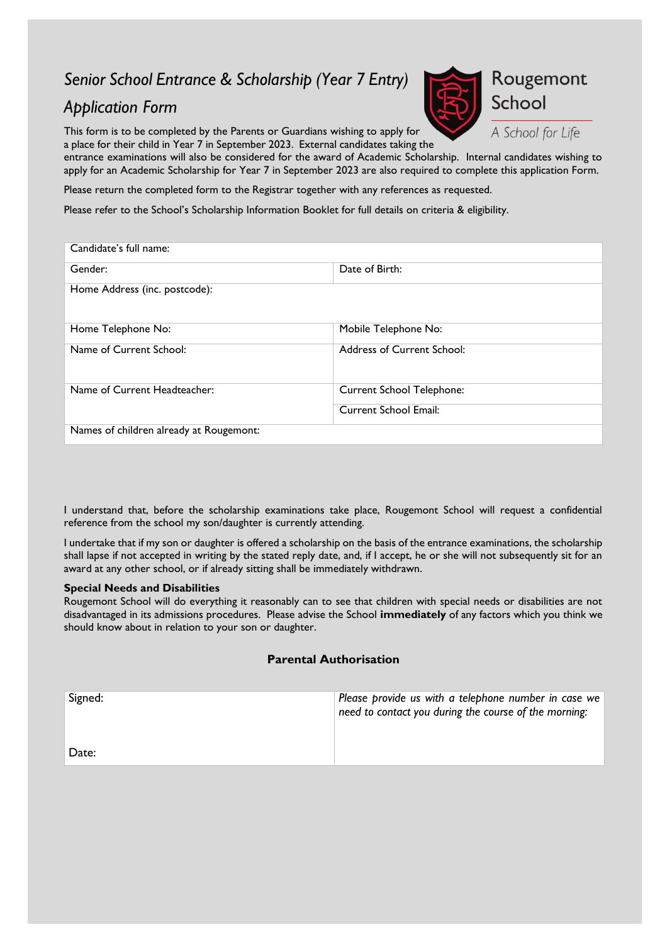# *Senior School Entrance & Scholarship (Year 7 Entry)*

## *Application Form*

This form is to be completed by the Parents or Guardians wishing to apply for a place for their child in Year 7 in September 2023. External candidates taking the



A School for Life

entrance examinations will also be considered for the award of Academic Scholarship. Internal candidates wishing to apply for an Academic Scholarship for Year 7 in September 2023 are also required to complete this application Form.

Please return the completed form to the Registrar together with any references as requested.

Please refer to the School's Scholarship Information Booklet for full details on criteria & eligibility.

| Candidate's full name:                  |                                  |
|-----------------------------------------|----------------------------------|
| Gender:                                 | Date of Birth:                   |
| Home Address (inc. postcode):           |                                  |
| Home Telephone No:                      | Mobile Telephone No:             |
| Name of Current School:                 | Address of Current School:       |
| Name of Current Headteacher:            | <b>Current School Telephone:</b> |
|                                         | Current School Email:            |
| Names of children already at Rougemont: |                                  |

I understand that, before the scholarship examinations take place, Rougemont School will request a confidential reference from the school my son/daughter is currently attending.

I undertake that if my son or daughter is offered a scholarship on the basis of the entrance examinations, the scholarship shall lapse if not accepted in writing by the stated reply date, and, if I accept, he or she will not subsequently sit for an award at any other school, or if already sitting shall be immediately withdrawn.

#### **Special Needs and Disabilities**

Rougemont School will do everything it reasonably can to see that children with special needs or disabilities are not disadvantaged in its admissions procedures. Please advise the School **immediately** of any factors which you think we should know about in relation to your son or daughter.

#### **Parental Authorisation**

| Signed: | Please provide us with a telephone number in case we<br>need to contact you during the course of the morning: |
|---------|---------------------------------------------------------------------------------------------------------------|
| Date:   |                                                                                                               |